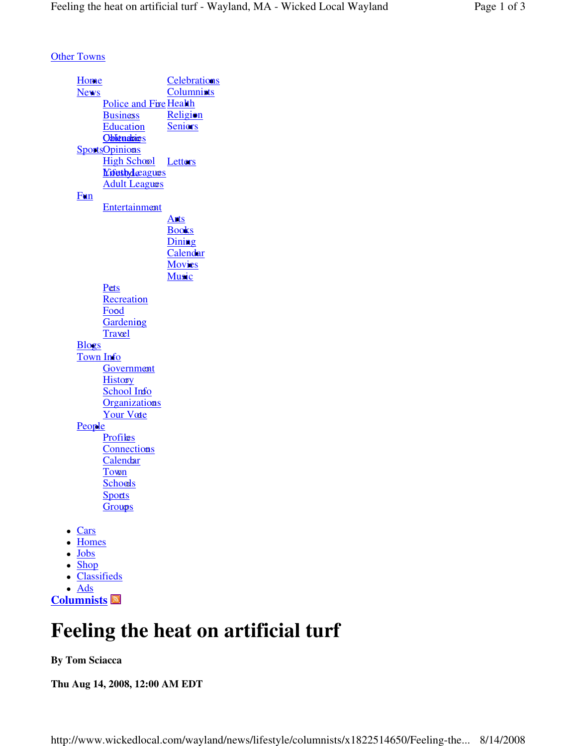**Other Towns** 

**Home**  News Police and Fire Health **Business Education** <u>Oblienabies</u> SportsOpinions **Letters** <u>Nifestylæagues</u> **Celebrations**  Columnists **Religion**  Seniors High School **Adult Leagues**  Fun Entertainment Arts Books **Dining**  Calendar **Movies Music** <u>Pets</u> **Recreation** Fo<mark>o</mark>d **Gardening** Travel **Blogs**  Town Info **Government History** <u>School Info</u> Organizations Your Vote People <u>Profiles</u> **Connections** Calendar Town <u>Schools</u> **Sports Groups** • Cars • Homes • Jobs • Shop Classifieds

 Ads **Columnists**

# **Feeling the heat on artificial turf**

### **By Tom Sciacca**

**Thu Aug 14, 2008, 12:00 AM EDT**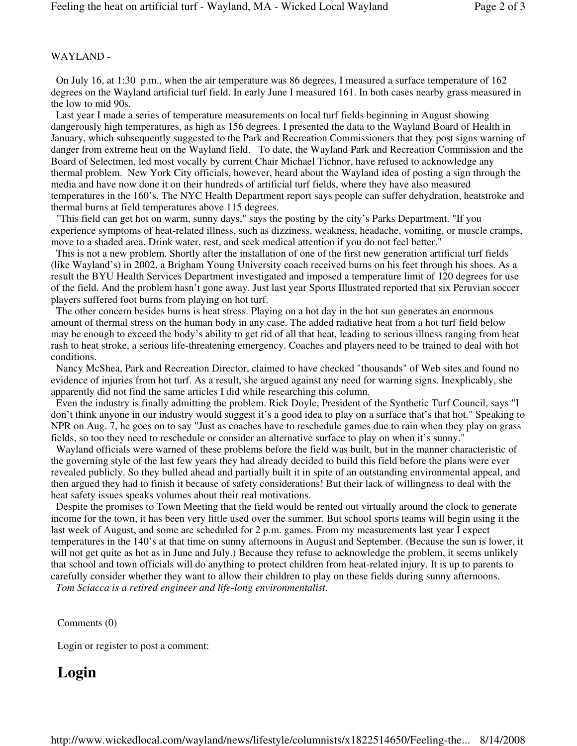### WAYLAND -

 On July 16, at 1:30 p.m., when the air temperature was 86 degrees, I measured a surface temperature of 162 degrees on the Wayland artificial turf field. In early June I measured 161. In both cases nearby grass measured in the low to mid 90s.

 Last year I made a series of temperature measurements on local turf fields beginning in August showing dangerously high temperatures, as high as 156 degrees. I presented the data to the Wayland Board of Health in January, which subsequently suggested to the Park and Recreation Commissioners that they post signs warning of danger from extreme heat on the Wayland field. To date, the Wayland Park and Recreation Commission and the Board of Selectmen, led most vocally by current Chair Michael Tichnor, have refused to acknowledge any thermal problem. New York City officials, however, heard about the Wayland idea of posting a sign through the media and have now done it on their hundreds of artificial turf fields, where they have also measured temperatures in the 160's. The NYC Health Department report says people can suffer dehydration, heatstroke and thermal burns at field temperatures above 115 degrees.

 "This field can get hot on warm, sunny days," says the posting by the city's Parks Department. "If you experience symptoms of heat-related illness, such as dizziness, weakness, headache, vomiting, or muscle cramps, move to a shaded area. Drink water, rest, and seek medical attention if you do not feel better."

 This is not a new problem. Shortly after the installation of one of the first new generation artificial turf fields (like Wayland's) in 2002, a Brigham Young University coach received burns on his feet through his shoes. As a result the BYU Health Services Department investigated and imposed a temperature limit of 120 degrees for use of the field. And the problem hasn't gone away. Just last year Sports Illustrated reported that six Peruvian soccer players suffered foot burns from playing on hot turf.

 The other concern besides burns is heat stress. Playing on a hot day in the hot sun generates an enormous amount of thermal stress on the human body in any case. The added radiative heat from a hot turf field below may be enough to exceed the body's ability to get rid of all that heat, leading to serious illness ranging from heat rash to heat stroke, a serious life-threatening emergency. Coaches and players need to be trained to deal with hot conditions.

 Nancy McShea, Park and Recreation Director, claimed to have checked "thousands" of Web sites and found no evidence of injuries from hot turf. As a result, she argued against any need for warning signs. Inexplicably, she apparently did not find the same articles I did while researching this column.

 Even the industry is finally admitting the problem. Rick Doyle, President of the Synthetic Turf Council, says "I don't think anyone in our industry would suggest it's a good idea to play on a surface that's that hot." Speaking to NPR on Aug. 7, he goes on to say "Just as coaches have to reschedule games due to rain when they play on grass fields, so too they need to reschedule or consider an alternative surface to play on when it's sunny."

 Wayland officials were warned of these problems before the field was built, but in the manner characteristic of the governing style of the last few years they had already decided to build this field before the plans were ever revealed publicly. So they bulled ahead and partially built it in spite of an outstanding environmental appeal, and then argued they had to finish it because of safety considerations! But their lack of willingness to deal with the heat safety issues speaks volumes about their real motivations.

 Despite the promises to Town Meeting that the field would be rented out virtually around the clock to generate income for the town, it has been very little used over the summer. But school sports teams will begin using it the last week of August, and some are scheduled for 2 p.m. games. From my measurements last year I expect temperatures in the 140's at that time on sunny afternoons in August and September. (Because the sun is lower, it will not get quite as hot as in June and July.) Because they refuse to acknowledge the problem, it seems unlikely that school and town officials will do anything to protect children from heat-related injury. It is up to parents to carefully consider whether they want to allow their children to play on these fields during sunny afternoons.  *Tom Sciacca is a retired engineer and life-long environmentalist.*

Comments (0)

Login or register to post a comment:

### **Login**